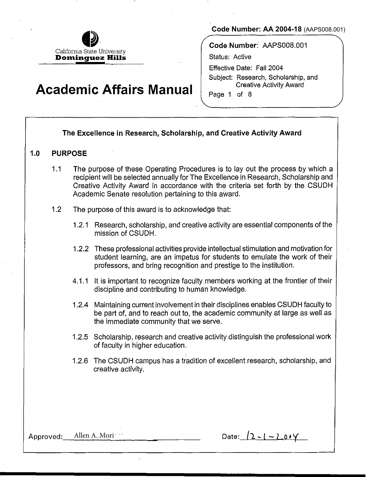

**Code Number: AA 2004-18** (AAPS008.001)

**Code Number:** AAPS008.001

Status: Active

Effective Date: Fall 2004 Subject: Research, Scholarship, and Creative Activity Award

Page 1 of 8

# **Academic Affairs Manual**

## **The Excellence in Research, Scholarship, and Creative Activity Award**

#### **1.0 PURPOSE**

- 1.1 The purpose of these Operating Procedures is to lay out the process by which a recipient will be selected annually for The Excellence in Research, Scholarship and Creative Activity Award in accordance with the criteria set forth by. the CSUDH Academic Senate resolution pertaining to this award.
- 1.2 The purpose of this award is to acknowledge that:
	- 1.2.1 Research, scholarship, and creative activity are essential components of the mission of CSUDH.
	- 1.2.2 These professional activities provide intellectual stimulation and motivation for student learning, are an impetus for students to emulate the work of their professors, and bring recognition and prestige to the institution.
	- 4.1.1 It is important to recognize faculty members working at the frontier of their discipline and contributing to human knowledge.
	- 1.2.4 Maintaining current involvement in their disciplines enables CSUDH faculty to be part of, and to reach out to, the academic community at large as well as the immediate community that we serve.
	- 1.2.5 Scholarship, research and creative activity distinguish the professional work of faculty in higher education.
	- 1.2.6 The CSUDH campus has a tradition of excellent research, scholarship, and creative activity.

Approved: Allen A. Mori **but allen A. Mori in the Contract Allen A.** Date:  $(2 - 1 - 2.009)$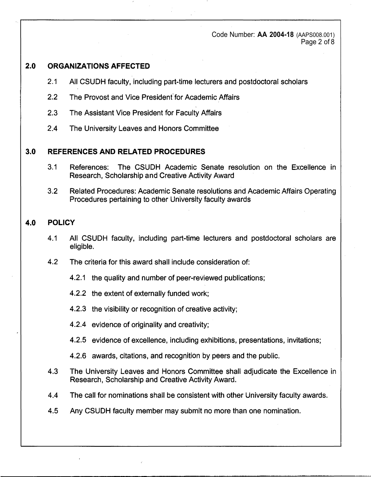Code Number: **AA 2004-18** (AAPS008.001) Page 2 of 8

### **2.0 ORGANIZATIONS AFFECTED**

- 2.1 All CSUDH faculty, including part-time lecturers and postdoctoral scholars
- 2.2 The Provost and Vice President' for Academic Affairs
- 2.3 The Assistant Vice President for Faculty Affairs
- 2.4 The University Leaves and Honors Committee

### **3.0 REFERENCES AND RELATED PROCEDURES**

- 3.1 References: The CSUDH Academic Senate resolution on the Excellence in Research, Scholarship and Creative Activity Award
- 3.2 Related Procedures: Academic Senate resolutions arid Academic Affairs Operating Procedures pertaining to other University faculty awards

## **4.0 POLICY**

- 4.1 All CSUDH faculty, including part-time lecturers and postdoctoral scholars are eligible.
- 4.2 The criteria for this award shall include consideration of:
	- 4.2.1 the quality and number of peer-reviewed publications;
	- 4.2.2 the extent of externally funded work;
	- 4.2.3 the visibility or recognition of creative activity;
	- 4.2.4 evidence of originality and creativity;
	- 4.2.5 evidence of excellence, including exhibitions, presentations, invitations;
	- 4.2.6 awards, citations, and recognition by peers and the public.
- 4.3 The University Leaves and Honors Committee shall adjudicate the Excellence in Research, Scholarship and Creative Activity Award.
- 4.4 The call for nominations shall be consistent with other University faculty awards.
- 4.5 Any CSUDH faculty member may submit no more than one nomination.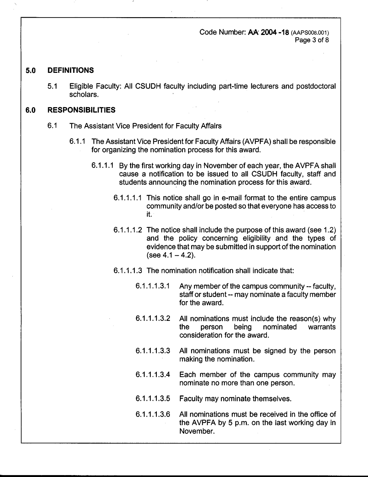Code Number: AA 2004-18 (AAPS008.001) Page 3 of 8

#### **5.0 DEFINITIONS**

5.1 Eligible Faculty: All CSUDH faculty including part-time lecturers and postdoctoral scholars.

#### **6.0 RESPONSIBILITIES**

- 6.1 The Assistant Vice President for Faculty Affairs
	- 6.1.1 The Assistant Vice President for Faculty Affairs (AVPFA) shall be responsible for organizing the nomination process for this award.
		- 6.1.1.1 By the first working day in November of each year, the AVPFA shall cause a notification to be issued to all CSUDH faculty, staff and students announcing the nomination process for this award.
			- 6.1.1.1.1 This notice shall go in e-mail format to the entire campus community and/or be posted so that everyone has access to H.
			- 6.1.1.1.2 The notice shall include the purpose of this award (see 1.2) and the policy concerning eligibility and the types of evidence that may be submitted in support of the nomination  $(see 4.1 - 4.2).$
			- 6.1.1.1.3 The nomination notification shall indicate that:
				- 6.1.1.1.3.1 Any member of the campus community -- faculty, staff or student-- may nominate a faculty member for the award.
				- 6.1.1.1.3.2 All nominations must include the reason(s) why the person being nominated warrants consideration for the award.
				- 6.1.1.1.3.3 All nominations must be signed by the person making the nomination.
				- 6.1.1.1.3.4 Each member of the campus community may nominate no more than one person.
				- 6.1.1.1.3.5 Faculty may nominate themselves.
				- 6.1.1.1.3.6 All nominations must be received in the office of the AVPFA by 5 p.m. on the last working day in November.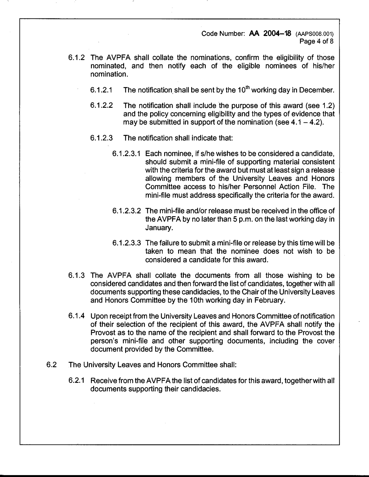Code Number: AA 2004-18 (AAPS008.001) Page 4 of 8

- 6.1.2 The AVPFA shall collate the nominations, confirm the eligibility of those nominated, and then notify each of the eligible nominees of his/her nomination.
	- 6.1.2.1 The notification. shall be sent by the 10**th** working day in December.
	- 6.1.2.2 The notification shall include the purpose of this award (see 1.2) and the policy concerning eligibility and the types of evidence that may be submitted in support of the nomination (see  $4.1 - 4.2$ ).
	- 6.1.2.3 The notification shall indicate that:
		- 6.1.2.3.1 Each nominee, if s/he wishes to be considered a candidate, should submit a mini-file of supporting material consistent with the criteria for the award but must at least sign a release allowing members of the University Leaves and Honors Committee access to his/her, Personnel Action File. The mini-file must address specifically the criteria for the award.
		- 6.1.2.3.2 The mini-file and/or release must be received in the office of the AVPFA by no later than 5 p.m. on the last working day in January.
		- 6.1.2.3.3 The failure to submit a mini-file or release by this time will be taken to mean that the nominee does not wish to be considered a candidate for this award.
- 6.1.3 The AVPFA shall collate the documents from all those wishing to be considered candidates and then forward the list of candidates, together with all documents supporting these candidacies, to the Chair of the University Leaves and Honors Committee by the 10th working day in February.
- 6.1.4 Upon receipt from the University Leaves and Honors Committee of notification of their selection of the recipient of this award, the AVPFA shall notify the Provost as to the name of the recipient and shall forward to the Provost the person's mini-file and other supporting documents, including the cover document provided by the Committee.
- 6.2 The University Leaves and Honors Committee shall:
	- 6.2.1 Receive from the AVPFA the list of candidates for this award, together with all documents supporting their candidacies.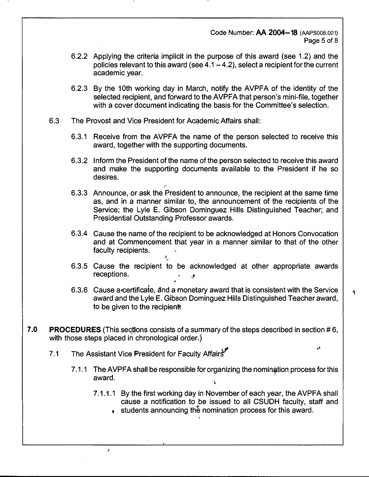#### Code Number: AA 2004-18 (AAPS008.001) Page 5 of 8

- 6.2.2 Applying the criteria implicit in the purpose of this award (see 1.2) and the policies relevant to this award (see  $4.1 - 4.2$ ), select a recipient for the current academic year.
- 6.2.3 By the 10th working day in March, notify the AVPFA of the identity of the selected recipient, and forward to the AVPFA that person's mini-file, together with a cover document indicating the basis for the Committee's selection.
- 6.3 The Provost and Vice President for Academic Affairs shall:

I'

! ,

- 6.3.1 Receive from the AVPFA the name of the person selected to receive this award, together with the supporting documents.
- 6.3.2 Inform the President of the name of the person selected to receive this award and make the supporting documents available to the President if he so desires.
- 6.3.3 Announce, or ask the President to announce, the recipient at the same time as, and in a manner similar to, the announcement of the recipients of the Service; the Lyle E. Gibson Dominguez Hills Distinguished Teacher; and Presidential Outstanding Professor awards.
- 6.3.4 Cause the name of the recipient to be acknowledged at Honors Convocation and at Commencement that year in a manner similar to that of the other faculty recipients. •
- 6.3.5 Cause the recipient to be acknowledged at other appropriate awards receptions. ,.
- 6.3.6 Cause a-certificate, a'nd a monetary award that is consistent with the Service award and the Lyle E. Gibson Dominguez Hills Distinguished Teacher award, to be given to the recipient.
- **7.0 PROCEDURES** (This sections consists of a summary of the steps described in section #6, with those steps placed in chronological order.)
	- 7.1 The Assistant Vice President for Faculty Affairs<sup>y"</sup>

 $\cdot^{\rho}$ 

- 7.1.1 The AVPFA shall be responsible for organizing the nomination process for this award. ·�
	- 7.1.1.1 By the first working day in November of each year, the AVPFA shall cause a notification to be issued to all CSUDH faculty, staff and
		- **t** students announcing the nomination process for this award.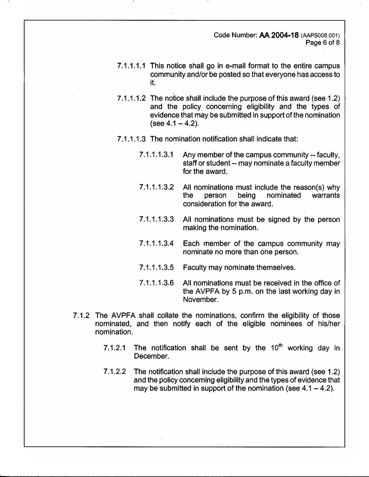Code Number: AA 2004-18 (AAPS008.001) Page 6 of 8

- 7.1.1.1.1 This notice shall go in e-mail format to the entire campus community and/or be posted so that everyone has access to it.
- 7.1.1.1.2 The notice shall include the purpose of this award (see 1.2) and the policy concerning eligibility and the types of evidence that may be submitted in support of the nomination  $(see 4.1 - 4.2).$
- 7 .1.1.1.3 The nomination notification shall indicate that:
	- 7.1.1.1.3.1 Any member of the campus community-- faculty, staff or student-- may nominate a faculty member for the award.
	- 7.1.1.1.3.2 All nominations must include the reason(s) why the person being nominated warrants consideration for the award.
	- 7 .1.1.1.3.3 All nominations must be signed by the person making the nomination.
	- 7.1.1.1.3.4 Each member of the campus community may nominate no more than one person.
	- 7.1.1.1.3.5 Faculty may nominate themselves.
	- 7 .1.1.1.3.6 All nominations must be received in the office of the AVPFA by 5 p.m. on the last working day in November.
- 7.1.2 The AVPFA shall collate the nominations, confirm the eligibility of those nominated, and then notify each of the eligible nominees of his/her nomination.
	- 7; 1.2.1 The notification shall be sent by the 10**th** working day in December.
	- 7.1.2.2 The notification shall include the purpose of this award (see 1.2) and the policy concerning eligibility and the types of evidence that may be submitted in support of the nomination (see  $4.1 - 4.2$ ).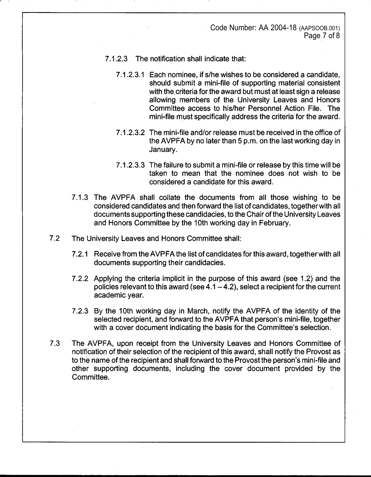Code Number: AA 2004-18 (AAPSOOB.001) Page 7 of 8

- 7.1.2.3 The notification shall indicate that:
	- 7 .1.2.3.1 Each nominee, ifs/he wishes to be considered a candidate, should submit a mini-file of supporting material consistent with the criteria for the award but must at least sign a release allowing members of the University Leaves and Honors Committee access to his/her Personnel Action File. The mini-file must specifically address the criteria for the award.
	- 7 .1.2.3.2 The mini-file and/or release must be received in the office of the AVPFA by.no later than 5 p.m. on the last working day in January.
	- 7.1.2.3.3 The failure to submit a mini-file or release by this time will be taken to mean that the nominee does not wish to be considered a candidate for this award.
- 7.1.3 The AVPFA shall collate the documents from all those wishing to be considered candidates and then forward the list of candidates, together with all documents supporting these candidacies, to the Chair of the University Leaves and Honors Committee by the 10th working day in February.
- 7.2 The University Leaves and Honors Committee shall:
	- 7 .2.1 Receive from the AVPFA the list of candidates for this award, together with all documents supporting their candidacies.
	- 7.2.2 Applying the criteria implicit in the purpose of this award (see 1.2) and the policies relevant to this award (see  $4.1 - 4.2$ ), select a recipient for the current academic year.
	- 7.2.3 By the 10th working day in March, notify the AVPFA of the identity of the selected recipient, and forward to the AVPFA that person's mini-file, together with a cover document indicating the basis for the Committee's selection.
- 7.3 The AVPFA, upon receipt from the University Leaves and Honors Committee of notification of their selection of the recipient of this award, shall notify the Provost as to the name of the recipient and shall forward to the Provost the person's mini-file and other supporting documents, including the cover document provided by the Committee.